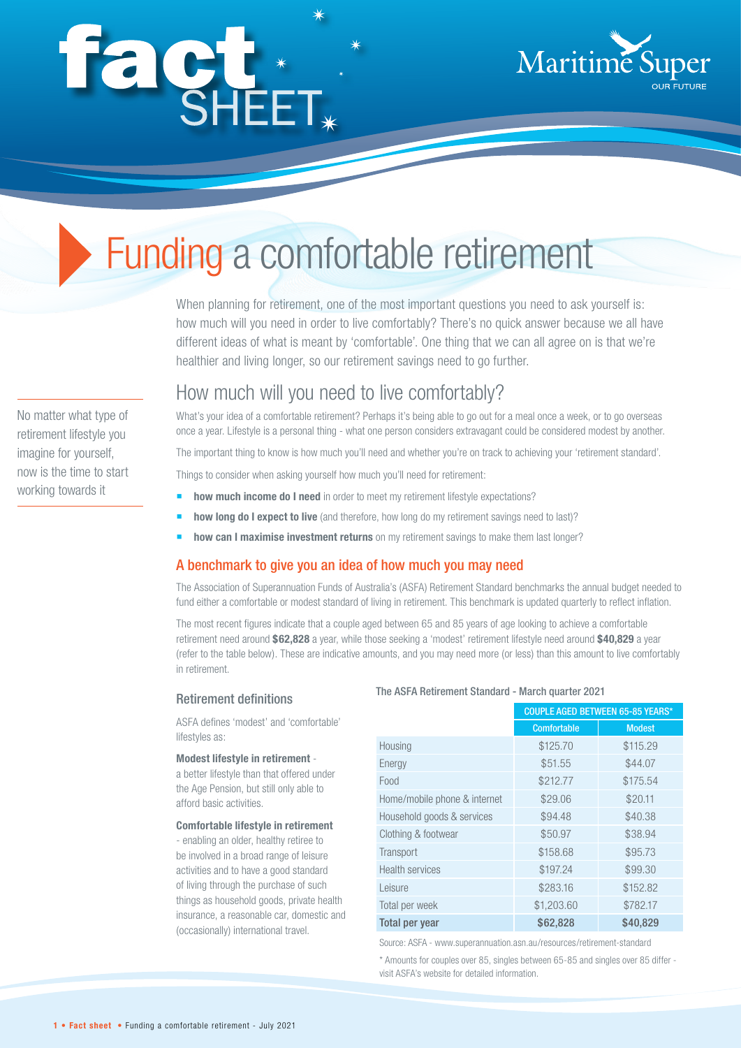# façt\*



# Funding a comfortable retirement

When planning for retirement, one of the most important questions you need to ask yourself is: how much will you need in order to live comfortably? There's no quick answer because we all have different ideas of what is meant by 'comfortable'. One thing that we can all agree on is that we're healthier and living longer, so our retirement savings need to go further.

How much will you need to live comfortably?

What's your idea of a comfortable retirement? Perhaps it's being able to go out for a meal once a week, or to go overseas once a year. Lifestyle is a personal thing - what one person considers extravagant could be considered modest by another.

The important thing to know is how much you'll need and whether you're on track to achieving your 'retirement standard'.

Things to consider when asking yourself how much you'll need for retirement:

- **how much income do I need** in order to meet my retirement lifestyle expectations?
- **how long do I expect to live** (and therefore, how long do my retirement savings need to last)?
- **how can I maximise investment returns** on my retirement savings to make them last longer?

# A benchmark to give you an idea of how much you may need

The Association of Superannuation Funds of Australia's (ASFA) Retirement Standard benchmarks the annual budget needed to fund either a comfortable or modest standard of living in retirement. This benchmark is updated quarterly to reflect inflation.

The most recent figures indicate that a couple aged between 65 and 85 years of age looking to achieve a comfortable retirement need around **\$62,828** a year, while those seeking a 'modest' retirement lifestyle need around **\$40,829** a year (refer to the table below). These are indicative amounts, and you may need more (or less) than this amount to live comfortably in retirement.

#### Retirement definitions

ASFA defines 'modest' and 'comfortable' lifestyles as:

#### **Modest lifestyle in retirement** -

a better lifestyle than that offered under the Age Pension, but still only able to afford basic activities.

#### **Comfortable lifestyle in retirement**

- enabling an older, healthy retiree to be involved in a broad range of leisure activities and to have a good standard of living through the purchase of such things as household goods, private health insurance, a reasonable car, domestic and (occasionally) international travel.

#### The ASFA Retirement Standard - March quarter 2021

|                              | <b>COUPLE AGED BETWEEN 65-85 YEARS*</b> |               |
|------------------------------|-----------------------------------------|---------------|
|                              | <b>Comfortable</b>                      | <b>Modest</b> |
| Housing                      | \$125.70                                | \$115.29      |
| Energy                       | \$51.55                                 | \$44.07       |
| Food                         | \$212.77                                | \$175.54      |
| Home/mobile phone & internet | \$29.06                                 | \$20.11       |
| Household goods & services   | \$94.48                                 | \$40.38       |
| Clothing & footwear          | \$50.97                                 | \$38.94       |
| Transport                    | \$158.68                                | \$95.73       |
| <b>Health services</b>       | \$197.24                                | \$99.30       |
| Leisure                      | \$283.16                                | \$152.82      |
| Total per week               | \$1,203.60                              | \$782.17      |
| Total per year               | \$62,828                                | \$40,829      |

Source: ASFA - www.superannuation.asn.au/resources/retirement-standard

\* Amounts for couples over 85, singles between 65-85 and singles over 85 differ visit ASFA's website for detailed information.

No matter what type of retirement lifestyle you imagine for yourself, now is the time to start working towards it